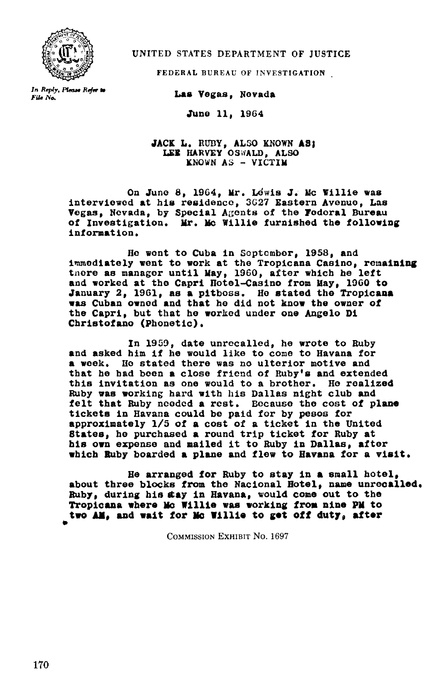

UNITED STATES DEPARTMENT OF JUSTICE

FEDERAL BUREAU OF INVESTIGATION

In Reply, Please Refer to File No,

Las Vegas, Nevada

June 11, 1964

JACK L. RUBY, ALSO KNOWN AS: LEE HARVEY OSWALD, ALSO KNOWN AS - VICTIM

On June 8, 1964, Mr. Lewis J. Mc Willie was interviewed at his residence, 3627 Eastern Avenue, Las Vegas, Nevada, by Special Agents of the Federal Bureau of Investigation. Mr. Mc Willie furnished the following information .

He wont to Cuba in Soptembor, 1958, and immediately went to work at the Tropicana Casino, remaining there as manager until May, 1960, after which he left and worked at the Capri Hotel-Casino from May, 1960 to January 2, 1961, as a pitboss. He stated the Tropicana was Cuban owned and that he did not know the owner of the Capri, but that he worked under one Angelo Di Christofano (Phonetic) .

In 1959, date unrecalled, he wrote to Ruby and asked him if he would like to come to Havana for a week. He stated there was no ulterior motive and that he had boon a close friend of Ruby's and extended this invitation as one would to a brother. He realized Ruby was working hard with his Dallas night club and felt that Ruby needed a rest. Because the cost of plane tickets in Havana could be paid for by pesos for approximately 1/5 of a cost of a ticket in the United States, he purchased a round trip ticket for Ruby at his own expense and mailed it to Ruby in Dallas, after which Ruby boarded a plane and flew to Havana for a visit.

He arranged for Ruby to stay in a small hotel, about three blocks from the Nacional Hotel, name unrecalled. Ruby, during his stay in Havana, would come out to the Tropicana where Mc Willie was working from nine PM to two AR, and wait for No Willie to get off duty, after

COMMISSION EXHIBIT NO. 1697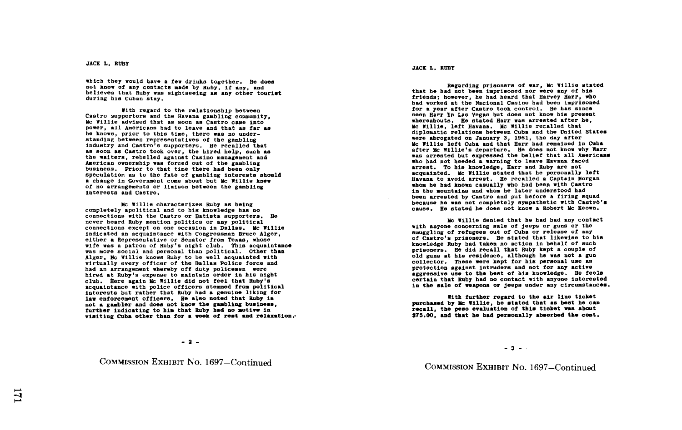which they would have a few drinks together. He does not know of any contacts made by Ruby, if any, and believes that Ruby was sightseeing as any other tourist during his Cuban stay.

With regard to the relationship between Castro supporters and the Havana gambling community, Mc Willie advised that as soon as Castro came into power, all Americans had to leave and that as far as he knows, prior to this time, there was no understanding between representatives of the gambling industry and Castro's supporters. He recalled that as soon as Castro took over, the hired help, such as the waiters , rebelled against Casino management and American ownership was forced out of the gambling business. Prior to that time there had been only speculation as to the fate of gambling interests should<br>a change in Government come about but Mc Willie knew of no arrangements or liaison betweso the gambling Interests and Castro .

Mc Willie characterizes Ruby as being completely apolitical and to his knowledge has no connections with the Castro or Batista supporters. He never heard Ruby mention politics or any political never heard Ruby mention politics or any political<br>connections except on one occasion in Dallas. Mc Willie indicated an acquaintance with Congressman Bruce Alger,<br>either a Representative or Senator from Texas, whose<br>either a Representative or Senator from Texas, whose wife was a patron of Ruby's night club . This acquaintance was more social and personal than political. Other than Alger, Mc Willie knows Ruby to be well acquainted with virtually every officer of the Dallas Police force and had an arrangement whereby off duty policemen were hired at Ruby's expense to maintain order in his night club. Here again Mc Willie did not feel that Ruby's acquaintance with police officers stemmed from political interests but rather that Ruby had a genuine liking for law enforcement officers. He also noted that Ruby is not a gambier and does not know the gambiing business<br>further indicating to him that Ruby had no motive in not a gambler and does not know the gambling business. visiting Cuba other than for a week of rest and relaxation.

 $-2 -$ 

COMMISSION EXHIBIT No. 1697-Continued

JACK L . RUBY

Regarding prisoners of war, He Willie stated that he had not been imprisoned nor were any of his friends; however, he had heard that Harvey Harr, who had worked at the Nacional Casino had been imprisoned for a year after Castro took control . He has since seen Harr In Las Vegas but does not know his present whereabouts. He stated Harr was arrested after he, Mc Willie, left Havana. Mc Willie recalled that diplomatic relations between Cuba and the United States were abrogated on January 3, 1961, the day after Will is left Cuba and that Harr bad remained in Cuba after Mc Willie's departure. He does not know why flarr<br>" departure in the second the bolies that all increases was arrested but expressed the belief that all Americans who had not heeded <sup>a</sup> Warning to leave Havana faced arrest. To his knowledge, Harr and Ruby are not acquainted. Mc Willie stated that he personally left Havana to avoid arrest. He recalled a Captain Morgan whom he had known casually who had been with Castro in the mountains and whom he later understood had been arrested by Castro and put before a firing squad<br>however to get and accelerate connection of the Castri because he was not completely sympathetic with Castro's cause . He stated he does not know a Robert Mc Weown .

He Willie denied that he had had any contact with anyone concerning sale of jeeps or guns or the smuggling of refugees out of Cuba or release of any of Castro's prisoners. He stated that likewise to his knowledge Ruby had taken no action in behalf of such prisoners . He did recall that Ruby kept a couple of old guns at his residence, although he was not a gun collector. These were kept for his personal use as protection against intruders and not for any active aggressive use to the best of his knowledge. He feels certain that Ruby had no contact With anyone interested in the sale of weapons or jeeps under any circumstances.

With further regard to the air line ticket purchased by Me Willie, he stated that as best he can recall, the peso evaluation of this ticket was about \$'75 .00, and that he had personally absorbed the cost .

 $-3 - 1$ 

COMMISSION EXHIBIT No. 1697-Continued